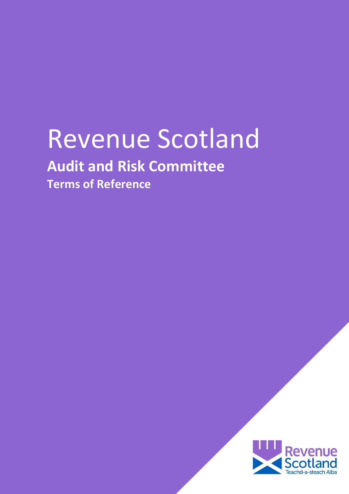# Revenue Scotland

# **Audit and Risk Committee**

**Terms of Reference**

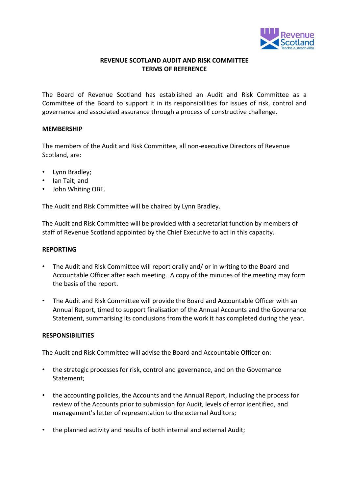

## **REVENUE SCOTLAND AUDIT AND RISK COMMITTEE TERMS OF REFERENCE**

The Board of Revenue Scotland has established an Audit and Risk Committee as a Committee of the Board to support it in its responsibilities for issues of risk, control and governance and associated assurance through a process of constructive challenge.

#### **MEMBERSHIP**

The members of the Audit and Risk Committee, all non-executive Directors of Revenue Scotland, are:

- Lynn Bradley;
- Ian Tait; and
- John Whiting OBE.

The Audit and Risk Committee will be chaired by Lynn Bradley.

The Audit and Risk Committee will be provided with a secretariat function by members of staff of Revenue Scotland appointed by the Chief Executive to act in this capacity.

#### **REPORTING**

- The Audit and Risk Committee will report orally and/ or in writing to the Board and Accountable Officer after each meeting. A copy of the minutes of the meeting may form the basis of the report.
- The Audit and Risk Committee will provide the Board and Accountable Officer with an Annual Report, timed to support finalisation of the Annual Accounts and the Governance Statement, summarising its conclusions from the work it has completed during the year.

#### **RESPONSIBILITIES**

The Audit and Risk Committee will advise the Board and Accountable Officer on:

- the strategic processes for risk, control and governance, and on the Governance Statement;
- the accounting policies, the Accounts and the Annual Report, including the process for review of the Accounts prior to submission for Audit, levels of error identified, and management's letter of representation to the external Auditors;
- the planned activity and results of both internal and external Audit;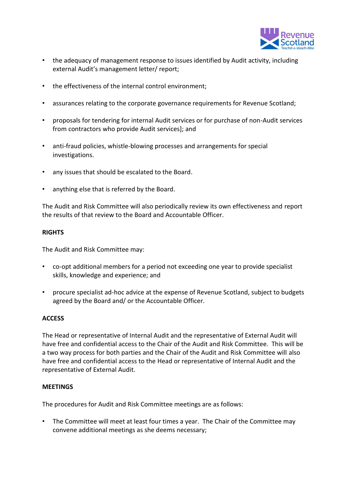

- the adequacy of management response to issues identified by Audit activity, including external Audit's management letter/ report;
- the effectiveness of the internal control environment;
- assurances relating to the corporate governance requirements for Revenue Scotland;
- proposals for tendering for internal Audit services or for purchase of non-Audit services from contractors who provide Audit services]; and
- anti-fraud policies, whistle-blowing processes and arrangements for special investigations.
- any issues that should be escalated to the Board.
- anything else that is referred by the Board.

The Audit and Risk Committee will also periodically review its own effectiveness and report the results of that review to the Board and Accountable Officer.

#### **RIGHTS**

The Audit and Risk Committee may:

- co-opt additional members for a period not exceeding one year to provide specialist skills, knowledge and experience; and
- procure specialist ad-hoc advice at the expense of Revenue Scotland, subject to budgets agreed by the Board and/ or the Accountable Officer.

### **ACCESS**

The Head or representative of Internal Audit and the representative of External Audit will have free and confidential access to the Chair of the Audit and Risk Committee. This will be a two way process for both parties and the Chair of the Audit and Risk Committee will also have free and confidential access to the Head or representative of Internal Audit and the representative of External Audit.

#### **MEETINGS**

The procedures for Audit and Risk Committee meetings are as follows:

• The Committee will meet at least four times a year. The Chair of the Committee may convene additional meetings as she deems necessary;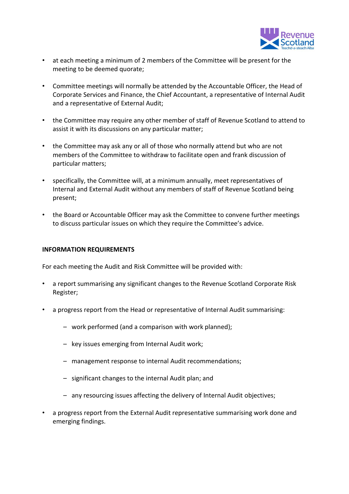

- at each meeting a minimum of 2 members of the Committee will be present for the meeting to be deemed quorate;
- Committee meetings will normally be attended by the Accountable Officer, the Head of Corporate Services and Finance, the Chief Accountant, a representative of Internal Audit and a representative of External Audit;
- the Committee may require any other member of staff of Revenue Scotland to attend to assist it with its discussions on any particular matter;
- the Committee may ask any or all of those who normally attend but who are not members of the Committee to withdraw to facilitate open and frank discussion of particular matters;
- specifically, the Committee will, at a minimum annually, meet representatives of Internal and External Audit without any members of staff of Revenue Scotland being present;
- the Board or Accountable Officer may ask the Committee to convene further meetings to discuss particular issues on which they require the Committee's advice.

#### **INFORMATION REQUIREMENTS**

For each meeting the Audit and Risk Committee will be provided with:

- a report summarising any significant changes to the Revenue Scotland Corporate Risk Register;
- a progress report from the Head or representative of Internal Audit summarising:
	- work performed (and a comparison with work planned);
	- key issues emerging from Internal Audit work;
	- management response to internal Audit recommendations;
	- significant changes to the internal Audit plan; and
	- any resourcing issues affecting the delivery of Internal Audit objectives;
- a progress report from the External Audit representative summarising work done and emerging findings.